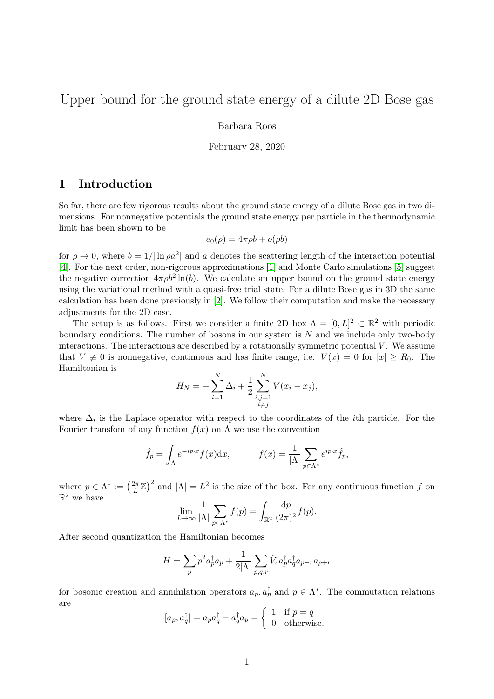# Upper bound for the ground state energy of a dilute 2D Bose gas

Barbara Roos

February 28, 2020

### 1 Introduction

So far, there are few rigorous results about the ground state energy of a dilute Bose gas in two dimensions. For nonnegative potentials the ground state energy per particle in the thermodynamic limit has been shown to be

$$
e_0(\rho) = 4\pi \rho b + o(\rho b)
$$

for  $\rho \to 0$ , where  $b = 1/|\ln \rho a^2|$  and a denotes the scattering length of the interaction potential [\[4\]](#page-6-0). For the next order, non-rigorous approximations [\[1\]](#page-6-1) and Monte Carlo simulations [\[5\]](#page-6-2) suggest the negative correction  $4\pi \rho b^2 \ln(b)$ . We calculate an upper bound on the ground state energy using the variational method with a quasi-free trial state. For a dilute Bose gas in 3D the same calculation has been done previously in [\[2\]](#page-6-3). We follow their computation and make the necessary adjustments for the 2D case.

The setup is as follows. First we consider a finite 2D box  $\Lambda = [0, L]^2 \subset \mathbb{R}^2$  with periodic boundary conditions. The number of bosons in our system is  $N$  and we include only two-body interactions. The interactions are described by a rotationally symmetric potential  $V$ . We assume that  $V \neq 0$  is nonnegative, continuous and has finite range, i.e.  $V(x) = 0$  for  $|x| \ge R_0$ . The Hamiltonian is

$$
H_N = -\sum_{i=1}^N \Delta_i + \frac{1}{2} \sum_{\substack{i,j=1 \ i \neq j}}^N V(x_i - x_j),
$$

where  $\Delta_i$  is the Laplace operator with respect to the coordinates of the *i*th particle. For the Fourier transfom of any function  $f(x)$  on  $\Lambda$  we use the convention

$$
\hat{f}_p = \int_{\Lambda} e^{-ip \cdot x} f(x) dx, \qquad f(x) = \frac{1}{|\Lambda|} \sum_{p \in \Lambda^*} e^{ip \cdot x} \hat{f}_p,
$$

where  $p \in \Lambda^* := \left(\frac{2\pi}{L}\right)$  $\left(\frac{2\pi}{L}\mathbb{Z}\right)^2$  and  $|\Lambda|=L^2$  is the size of the box. For any continuous function f on  $\mathbb{R}^2$  we have

$$
\lim_{L \to \infty} \frac{1}{|\Lambda|} \sum_{p \in \Lambda^*} f(p) = \int_{\mathbb{R}^2} \frac{\mathrm{d}p}{(2\pi)^2} f(p).
$$

After second quantization the Hamiltonian becomes

$$
H=\sum_p p^2 a^\dagger_p a_p + \frac{1}{2|\Lambda|} \sum_{p,q,r} \hat{V}_r a^\dagger_p a^\dagger_q a_{p-r} a_{p+r}
$$

for bosonic creation and annihilation operators  $a_p, a_p^{\dagger}$  and  $p \in \Lambda^*$ . The commutation relations are

$$
[a_p, a_q^{\dagger}] = a_p a_q^{\dagger} - a_q^{\dagger} a_p = \begin{cases} 1 & \text{if } p = q \\ 0 & \text{otherwise.} \end{cases}
$$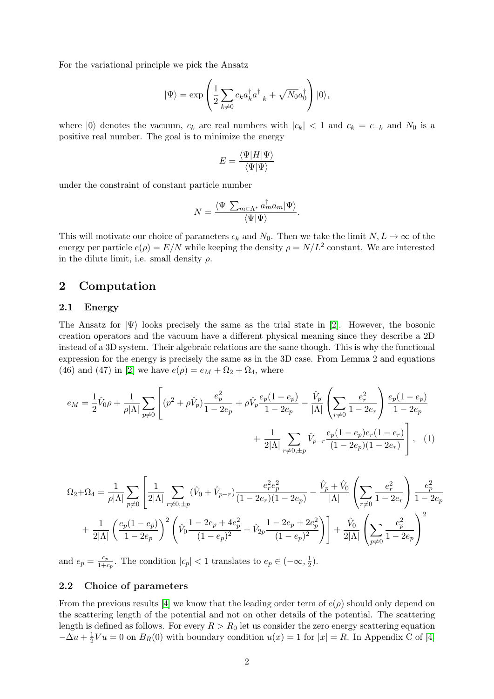For the variational principle we pick the Ansatz

$$
|\Psi\rangle = \exp\left(\frac{1}{2}\sum_{k\neq 0} c_k a_k^{\dagger} a_{-k}^{\dagger} + \sqrt{N_0} a_0^{\dagger}\right)|0\rangle,
$$

where  $|0\rangle$  denotes the vacuum,  $c_k$  are real numbers with  $|c_k| < 1$  and  $c_k = c_{-k}$  and  $N_0$  is a positive real number. The goal is to minimize the energy

$$
E = \frac{\langle \Psi | H | \Psi \rangle}{\langle \Psi | \Psi \rangle}
$$

under the constraint of constant particle number

<span id="page-1-0"></span>
$$
N = \frac{\langle \Psi | \sum_{m \in \Lambda^*} a_m^{\dagger} a_m | \Psi \rangle}{\langle \Psi | \Psi \rangle}.
$$

This will motivate our choice of parameters  $c_k$  and  $N_0$ . Then we take the limit  $N, L \to \infty$  of the energy per particle  $e(\rho) = E/N$  while keeping the density  $\rho = N/L^2$  constant. We are interested in the dilute limit, i.e. small density  $\rho$ .

### 2 Computation

### 2.1 Energy

The Ansatz for  $|\Psi\rangle$  looks precisely the same as the trial state in [\[2\]](#page-6-3). However, the bosonic creation operators and the vacuum have a different physical meaning since they describe a 2D instead of a 3D system. Their algebraic relations are the same though. This is why the functional expression for the energy is precisely the same as in the 3D case. From Lemma 2 and equations (46) and (47) in [\[2\]](#page-6-3) we have  $e(\rho) = e_M + \Omega_2 + \Omega_4$ , where

$$
e_M = \frac{1}{2}\hat{V}_0\rho + \frac{1}{\rho|\Lambda|} \sum_{p\neq 0} \left[ (p^2 + \rho \hat{V}_p) \frac{e_p^2}{1 - 2e_p} + \rho \hat{V}_p \frac{e_p(1 - e_p)}{1 - 2e_p} - \frac{\hat{V}_p}{|\Lambda|} \left( \sum_{r\neq 0} \frac{e_r^2}{1 - 2e_r} \right) \frac{e_p(1 - e_p)}{1 - 2e_p} + \frac{1}{2|\Lambda|} \sum_{r\neq 0, \pm p} \hat{V}_{p-r} \frac{e_p(1 - e_p)e_r(1 - e_r)}{(1 - 2e_p)(1 - 2e_r)} \right], \quad (1)
$$

$$
\Omega_2 + \Omega_4 = \frac{1}{\rho|\Lambda|} \sum_{p \neq 0} \left[ \frac{1}{2|\Lambda|} \sum_{r \neq 0, \pm p} (\hat{V}_0 + \hat{V}_{p-r}) \frac{e_r^2 e_p^2}{(1 - 2e_r)(1 - 2e_p)} - \frac{\hat{V}_p + \hat{V}_0}{|\Lambda|} \left( \sum_{r \neq 0} \frac{e_r^2}{1 - 2e_r} \right) \frac{e_p^2}{1 - 2e_p} + \frac{1}{2|\Lambda|} \left( \frac{e_p(1 - e_p)}{1 - 2e_p} \right)^2 \left( \hat{V}_0 \frac{1 - 2e_p + 4e_p^2}{(1 - e_p)^2} + \hat{V}_{2p} \frac{1 - 2e_p + 2e_p^2}{(1 - e_p)^2} \right) \right] + \frac{\hat{V}_0}{2|\Lambda|} \left( \sum_{p \neq 0} \frac{e_p^2}{1 - 2e_p} \right)^2
$$

and  $e_p = \frac{c_p}{1+c_p}$  $\frac{c_p}{1+c_p}$ . The condition  $|c_p| < 1$  translates to  $e_p \in (-\infty, \frac{1}{2})$  $(\frac{1}{2})$ .

#### 2.2 Choice of parameters

From the previous results [\[4\]](#page-6-0) we know that the leading order term of  $e(\rho)$  should only depend on the scattering length of the potential and not on other details of the potential. The scattering length is defined as follows. For every  $R > R_0$  let us consider the zero energy scattering equation  $-\Delta u + \frac{1}{2}$  $\frac{1}{2}Vu = 0$  on  $B_R(0)$  with boundary condition  $u(x) = 1$  for  $|x| = R$ . In Appendix C of [\[4\]](#page-6-0)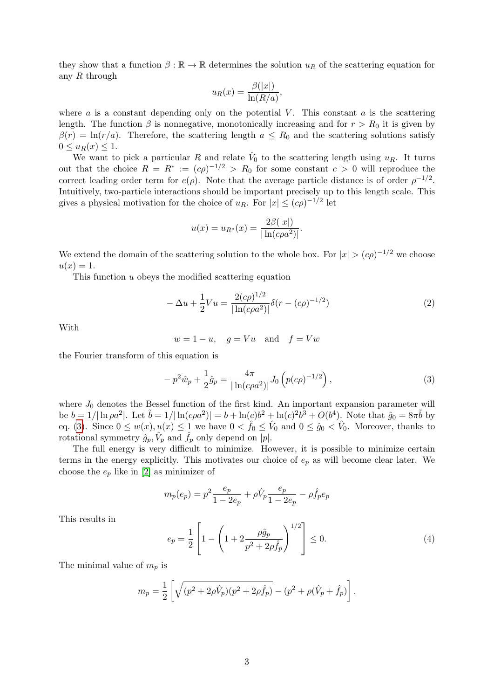they show that a function  $\beta : \mathbb{R} \to \mathbb{R}$  determines the solution  $u_R$  of the scattering equation for any  $R$  through

$$
u_R(x) = \frac{\beta(|x|)}{\ln(R/a)},
$$

where  $a$  is a constant depending only on the potential  $V$ . This constant  $a$  is the scattering length. The function  $\beta$  is nonnegative, monotonically increasing and for  $r > R_0$  it is given by  $\beta(r) = \ln(r/a)$ . Therefore, the scattering length  $a \leq R_0$  and the scattering solutions satisfy  $0 \leq u_R(x) \leq 1.$ 

We want to pick a particular R and relate  $\hat{V}_0$  to the scattering length using  $u_R$ . It turns out that the choice  $R = R^* := (c\rho)^{-1/2} > R_0$  for some constant  $c > 0$  will reproduce the correct leading order term for  $e(\rho)$ . Note that the average particle distance is of order  $\rho^{-1/2}$ . Intuitively, two-particle interactions should be important precisely up to this length scale. This gives a physical motivation for the choice of  $u_R$ . For  $|x| \leq (c\rho)^{-1/2}$  let

$$
u(x) = u_{R^*}(x) = \frac{2\beta(|x|)}{|\ln(c\rho a^2)|}.
$$

We extend the domain of the scattering solution to the whole box. For  $|x| > (c\rho)^{-1/2}$  we choose  $u(x)=1.$ 

This function u obeys the modified scattering equation

$$
-\Delta u + \frac{1}{2}Vu = \frac{2(c\rho)^{1/2}}{|\ln(c\rho a^2)|} \delta(r - (c\rho)^{-1/2})
$$
\n(2)

With

$$
w = 1 - u, \quad g = Vu \quad \text{and} \quad f = Vw
$$

the Fourier transform of this equation is

<span id="page-2-0"></span>
$$
-p^2\hat{w}_p + \frac{1}{2}\hat{g}_p = \frac{4\pi}{|\ln(c\rho a^2)|} J_0\left(p(c\rho)^{-1/2}\right),\tag{3}
$$

where  $J_0$  denotes the Bessel function of the first kind. An important expansion parameter will be  $b = 1/|\ln \rho a^2|$ . Let  $\tilde{b} = 1/|\ln(c\rho a^2)| = b + \ln(c)b^2 + \ln(c)^2b^3 + O(b^4)$ . Note that  $\hat{g}_0 = 8\pi\tilde{b}$  by eq. [\(3\)](#page-2-0). Since  $0 \le w(x), u(x) \le 1$  we have  $0 < \hat{f}_0 \le \hat{V}_0$  and  $0 \le \hat{g}_0 < \hat{V}_0$ . Moreover, thanks to rotational symmetry  $\hat{g}_p$ ,  $\hat{V}_p$  and  $\hat{f}_p$  only depend on |p|.

The full energy is very difficult to minimize. However, it is possible to minimize certain terms in the energy explicitly. This motivates our choice of  $e_p$  as will become clear later. We choose the  $e_p$  like in [\[2\]](#page-6-3) as minimizer of

$$
m_p(e_p) = p^2 \frac{e_p}{1 - 2e_p} + \rho \hat{V}_p \frac{e_p}{1 - 2e_p} - \rho \hat{f}_p e_p
$$

This results in

<span id="page-2-1"></span>
$$
e_p = \frac{1}{2} \left[ 1 - \left( 1 + 2 \frac{\rho \hat{g}_p}{p^2 + 2\rho \hat{f}_p} \right)^{1/2} \right] \le 0.
$$
 (4)

The minimal value of  $m_p$  is

$$
m_p = \frac{1}{2} \left[ \sqrt{(p^2 + 2\rho \hat{V}_p)(p^2 + 2\rho \hat{f}_p)} - (p^2 + \rho(\hat{V}_p + \hat{f}_p)) \right].
$$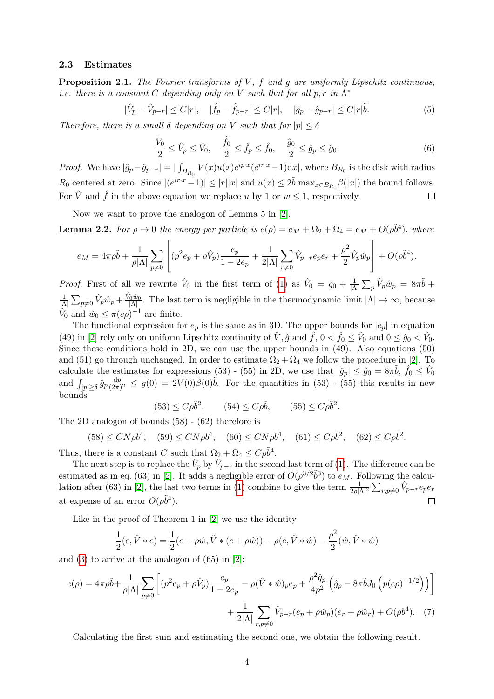#### 2.3 Estimates

**Proposition 2.1.** The Fourier transforms of  $V$ ,  $f$  and  $g$  are uniformly Lipschitz continuous, *i.e.* there is a constant C depending only on V such that for all  $p, r$  in  $\Lambda^*$ 

$$
|\hat{V}_p - \hat{V}_{p-r}| \le C|r|, \quad |\hat{f}_p - \hat{f}_{p-r}| \le C|r|, \quad |\hat{g}_p - \hat{g}_{p-r}| \le C|r|\tilde{b}.
$$
 (5)

Therefore, there is a small  $\delta$  depending on V such that for  $|p| \leq \delta$ 

$$
\frac{\hat{V}_0}{2} \le \hat{V}_p \le \hat{V}_0, \quad \frac{\hat{f}_0}{2} \le \hat{f}_p \le \hat{f}_0, \quad \frac{\hat{g}_0}{2} \le \hat{g}_p \le \hat{g}_0.
$$
\n(6)

*Proof.* We have  $|\hat{g}_p - \hat{g}_{p-r}| = |\int_{B_{R_0}} V(x)u(x)e^{ip\cdot x}(e^{ir\cdot x}-1)dx|$ , where  $B_{R_0}$  is the disk with radius  $R_0$  centered at zero. Since  $|(e^{ir\cdot x}-1)| \leq |r||x|$  and  $u(x) \leq 2\tilde{b}$  max $_{x \in B_{R_0}}\beta(|x|)$  the bound follows. For  $\hat{V}$  and  $\hat{f}$  in the above equation we replace u by 1 or  $w \le 1$ , respectively.  $\Box$ 

Now we want to prove the analogon of Lemma 5 in [\[2\]](#page-6-3).

**Lemma 2.2.** For  $\rho \to 0$  the energy per particle is  $e(\rho) = e_M + \Omega_2 + \Omega_4 = e_M + O(\rho \tilde{b}^4)$ , where

$$
e_M = 4\pi \rho \tilde{b} + \frac{1}{\rho |\Lambda|} \sum_{p \neq 0} \left[ (p^2 e_p + \rho \hat{V}_p) \frac{e_p}{1 - 2e_p} + \frac{1}{2|\Lambda|} \sum_{r \neq 0} \hat{V}_{p-r} e_p e_r + \frac{\rho^2}{2} \hat{V}_p \hat{w}_p \right] + O(\rho \tilde{b}^4).
$$

*Proof.* First of all we rewrite  $\hat{V}_0$  in the first term of [\(1\)](#page-1-0) as  $\hat{V}_0 = \hat{g}_0 + \frac{1}{|N|}$  $\frac{1}{|\Lambda|}\sum_{p}\hat{V}_{p}\hat{w}_{p} = 8\pi\tilde{b} +$ 1  $\frac{1}{|\Lambda|} \sum_{p\neq 0} \hat{V}_p \hat{w}_p + \frac{\hat{V}_0 \hat{w}_0}{|\Lambda|}$ . The last term is negligible in the thermodynamic limit  $|\Lambda| \to \infty$ , because  $\hat{V}_0$  and  $\hat{w}_0 \le \pi(c\rho)^{-1}$  are finite.

The functional expression for  $e_p$  is the same as in 3D. The upper bounds for  $|e_p|$  in equation (49) in [\[2\]](#page-6-3) rely only on uniform Lipschitz continuity of  $\hat{V}$ ,  $\hat{g}$  and  $\hat{f}$ ,  $0 < \hat{f}_0 \le \hat{V}_0$  and  $0 \le \hat{g}_0 < \hat{V}_0$ . Since these conditions hold in 2D, we can use the upper bounds in (49). Also equations (50) and (51) go through unchanged. In order to estimate  $\Omega_2 + \Omega_4$  we follow the procedure in [\[2\]](#page-6-3). To calculate the estimates for expressions (53) - (55) in 2D, we use that  $|\hat{g}_p| \leq \hat{g}_0 = 8\pi\tilde{b}$ ,  $\hat{f}_0 \leq \hat{V}_0$ and  $\int_{|p|\geq \delta} \hat{g}_p \frac{dp}{(2\pi)}$  $\frac{dp}{(2\pi)^2} \leq g(0) = 2V(0)\beta(0)\tilde{b}$ . For the quantities in (53) - (55) this results in new bounds

$$
(53) \le C\rho\tilde{b}^2, \qquad (54) \le C\rho\tilde{b}, \qquad (55) \le C\rho\tilde{b}^2.
$$

The 2D analogon of bounds (58) - (62) therefore is

$$
(58) \le CN\rho\tilde{b}^4, \quad (59) \le CN\rho\tilde{b}^4, \quad (60) \le CN\rho\tilde{b}^4, \quad (61) \le C\rho\tilde{b}^2, \quad (62) \le C\rho\tilde{b}^2.
$$

Thus, there is a constant C such that  $\Omega_2 + \Omega_4 \leq C \rho \tilde{b}^4$ .

The next step is to replace the  $\hat{V}_p$  by  $\hat{V}_{p-r}$  in the second last term of [\(1\)](#page-1-0). The difference can be estimated as in eq. (63) in [\[2\]](#page-6-3). It adds a negligible error of  $O(\rho^{3/2}\tilde{b}^3)$  to  $e_M$ . Following the calcu-lation after (63) in [\[2\]](#page-6-3), the last two terms in [\(1\)](#page-1-0) combine to give the term  $\frac{1}{2\rho|\Lambda|^2}\sum_{r,p\neq 0} \hat{V}_{p-r}e_pe_r$ at expense of an error  $O(\rho \tilde{b}^4)$ .  $\Box$ 

Like in the proof of Theorem 1 in [\[2\]](#page-6-3) we use the identity

<span id="page-3-0"></span>
$$
\frac{1}{2}(e, \hat{V} * e) = \frac{1}{2}(e + \rho \hat{w}, \hat{V} * (e + \rho \hat{w})) - \rho(e, \hat{V} * \hat{w}) - \frac{\rho^2}{2}(\hat{w}, \hat{V} * \hat{w})
$$

and [\(3\)](#page-2-0) to arrive at the analogon of (65) in [\[2\]](#page-6-3):

$$
e(\rho) = 4\pi \rho \tilde{b} + \frac{1}{\rho|\Lambda|} \sum_{p \neq 0} \left[ (p^2 e_p + \rho \hat{V}_p) \frac{e_p}{1 - 2e_p} - \rho (\hat{V} * \hat{w})_p e_p + \frac{\rho^2 \hat{g}_p}{4p^2} \left( \hat{g}_p - 8\pi \tilde{b} J_0 \left( p(c\rho)^{-1/2} \right) \right) \right] + \frac{1}{2|\Lambda|} \sum_{r, p \neq 0} \hat{V}_{p-r} (e_p + \rho \hat{w}_p) (e_r + \rho \hat{w}_r) + O(\rho b^4). \tag{7}
$$

Calculating the first sum and estimating the second one, we obtain the following result.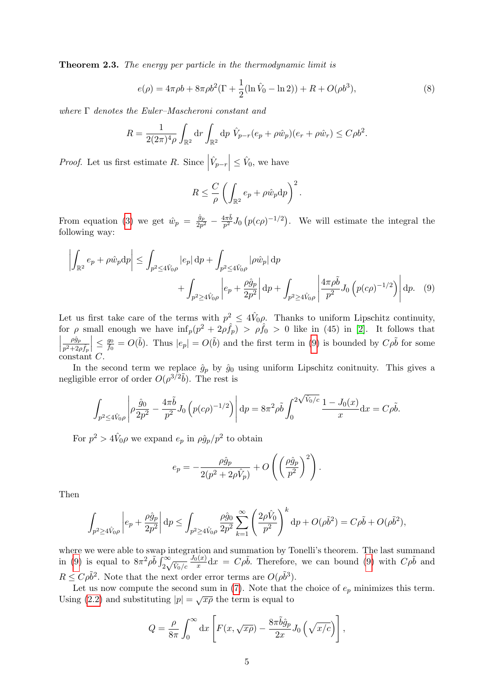**Theorem 2.3.** The energy per particle in the thermodynamic limit is

<span id="page-4-1"></span>
$$
e(\rho) = 4\pi \rho b + 8\pi \rho b^{2} (\Gamma + \frac{1}{2} (\ln \hat{V}_{0} - \ln 2)) + R + O(\rho b^{3}),
$$
\n(8)

where  $\Gamma$  denotes the Euler–Mascheroni constant and

$$
R = \frac{1}{2(2\pi)^4 \rho} \int_{\mathbb{R}^2} dr \int_{\mathbb{R}^2} dp \ \hat{V}_{p-r}(e_p + \rho \hat{w}_p)(e_r + \rho \hat{w}_r) \le C \rho b^2.
$$

*Proof.* Let us first estimate  $R$ . Since  $\left|\hat{V}_{p-r}\right| \leq \hat{V}_0$ , we have

<span id="page-4-0"></span>
$$
R \leq \frac{C}{\rho} \left( \int_{\mathbb{R}^2} e_p + \rho \hat{w}_p \mathrm{d}p \right)^2.
$$

From equation [\(3\)](#page-2-0) we get  $\hat{w}_p = \frac{\hat{g}_p}{2p}$  $\frac{\hat{g}_p}{2p^2} - \frac{4\pi \tilde{b}}{p^2}$  $\frac{4\pi b}{p^2}J_0(p(c\rho)^{-1/2})$ . We will estimate the integral the following way:

$$
\left| \int_{\mathbb{R}^2} e_p + \rho \hat{w}_p \, dp \right| \le \int_{p^2 \le 4\hat{V}_0 \rho} |e_p| \, dp + \int_{p^2 \le 4\hat{V}_0 \rho} |\rho \hat{w}_p| \, dp + \int_{p^2 \ge 4\hat{V}_0 \rho} \left| e_p + \frac{\rho \hat{g}_p}{2p^2} \right| \, dp + \int_{p^2 \ge 4\hat{V}_0 \rho} \left| \frac{4\pi \rho \tilde{b}}{p^2} J_0 \left( p(c\rho)^{-1/2} \right) \right| \, dp. \tag{9}
$$

Let us first take care of the terms with  $p^2 \leq 4\hat{V}_0 \rho$ . Thanks to uniform Lipschitz continuity, for  $\rho$  small enough we have  $\inf_p(p^2 + 2\rho \hat{f}_p) > \rho \hat{f}_0 > 0$  like in (45) in [\[2\]](#page-6-3). It follows that  $\begin{array}{c} \begin{array}{c} \begin{array}{c} \end{array} \\ \begin{array}{c} \end{array} \end{array} \end{array}$  $\rho \hat g_p$  $\overline{p^2+2\rho\widehat{f}_p}$  $\Big| \leq \frac{g_0}{f_0}$  $\frac{g_0}{f_0} = O(\tilde{b})$ . Thus  $|e_p| = O(\tilde{b})$  and the first term in [\(9\)](#page-4-0) is bounded by  $C\rho\tilde{b}$  for some constant C.

In the second term we replace  $\hat{g}_p$  by  $\hat{g}_0$  using uniform Lipschitz conitnuity. This gives a negligible error of order  $O(\rho^{3/2}\tilde{b})$ . The rest is

$$
\int_{p^2 \le 4\hat{V}_0 \rho} \left| \rho \frac{\hat{g}_0}{2p^2} - \frac{4\pi \tilde{b}}{p^2} J_0 \left( p(c\rho)^{-1/2} \right) \right| \mathrm{d}p = 8\pi^2 \rho \tilde{b} \int_0^{2\sqrt{\hat{V}_0/c}} \frac{1 - J_0(x)}{x} \mathrm{d}x = C\rho \tilde{b}.
$$

For  $p^2 > 4\hat{V}_0 \rho$  we expand  $e_p$  in  $\rho \hat{g}_p / p^2$  to obtain

$$
e_p = -\frac{\rho \hat{g}_p}{2(p^2 + 2\rho \hat{V}_p)} + O\left(\left(\frac{\rho \hat{g}_p}{p^2}\right)^2\right).
$$

Then

$$
\int_{p^2 \ge 4\hat{V}_{0}\rho} \left| e_p + \frac{\rho \hat{g}_p}{2p^2} \right| \mathrm{d}p \le \int_{p^2 \ge 4\hat{V}_{0}\rho} \frac{\rho \hat{g}_0}{2p^2} \sum_{k=1}^{\infty} \left( \frac{2\rho \hat{V}_0}{p^2} \right)^k \mathrm{d}p + O(\rho \tilde{b}^2) = C\rho \tilde{b} + O(\rho \tilde{b}^2),
$$

where we were able to swap integration and summation by Tonelli's theorem. The last summand in [\(9\)](#page-4-0) is equal to  $8\pi^2 \rho \tilde{b} \int_{2\sqrt{}}^{\infty}$  $\hat{V}_0/c$  $J_0(x)$  $\frac{d(x)}{dx}dx = C\rho\tilde{b}$ . Therefore, we can bound [\(9\)](#page-4-0) with  $C\rho\tilde{b}$  and  $R \leq C \rho \tilde{b}^2$ . Note that the next order error terms are  $O(\rho \tilde{b}^3)$ .

Let us now compute the second sum in  $(7)$ . Note that the choice of  $e_p$  minimizes this term. Using [\(2.2\)](#page-2-1) and substituting  $|p| = \sqrt{x\rho}$  the term is equal to

$$
Q = \frac{\rho}{8\pi} \int_0^\infty dx \left[ F(x, \sqrt{x\rho}) - \frac{8\pi \tilde{b}\hat{g}_p}{2x} J_0\left(\sqrt{x/c}\right) \right],
$$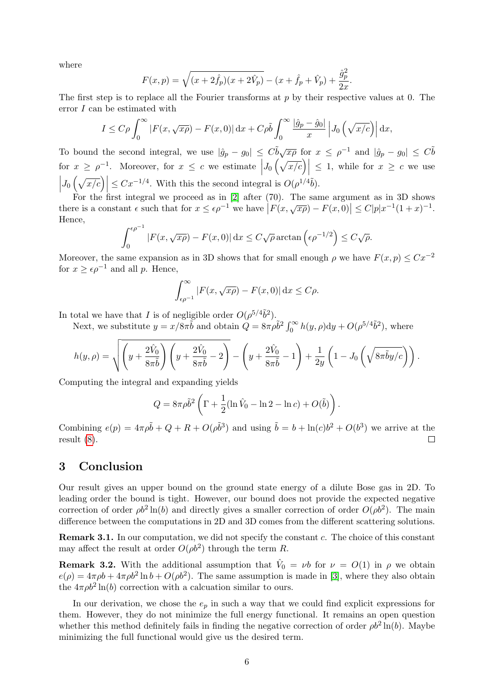where

$$
F(x,p) = \sqrt{(x+2\hat{f}_p)(x+2\hat{V}_p)} - (x+\hat{f}_p+\hat{V}_p) + \frac{\hat{g}_p^2}{2x}.
$$

The first step is to replace all the Fourier transforms at  $p$  by their respective values at 0. The error I can be estimated with

$$
I \leq C\rho \int_0^\infty \left| F(x, \sqrt{x\rho}) - F(x, 0) \right| \mathrm{d}x + C\rho \tilde{b} \int_0^\infty \frac{\left| \hat{g}_p - \hat{g}_0 \right|}{x} \left| J_0 \left( \sqrt{x/c} \right) \right| \mathrm{d}x,
$$

To bound the second integral, we use  $|\hat{g}_p - g_0| \leq C \tilde{b} \sqrt{x\rho}$  for  $x \leq \rho^{-1}$  and  $|\hat{g}_p - g_0| \leq C \tilde{b}$ for  $x \ge \rho^{-1}$ . Moreover, for  $x \le c$  we estimate  $\left| J_0\left(\sqrt{x/c}\right) \right| \le 1$ , while for  $x \ge c$  we use  $\left| J_0 \left( \sqrt{x/c} \right) \right| \leq C x^{-1/4}$ . With this the second integral is  $O(\rho^{1/4}\tilde{b})$ .

For the first integral we proceed as in [\[2\]](#page-6-3) after (70). The same argument as in 3D shows To the first metric we proceed as in [2] after (10). The same argument as in 3D shows<br>there is a constant  $\epsilon$  such that for  $x \leq \epsilon \rho^{-1}$  we have  $|F(x, \sqrt{x\rho}) - F(x, 0)| \leq C|p|x^{-1}(1+x)^{-1}$ . Hence,

$$
\int_0^{\epsilon \rho^{-1}} |F(x, \sqrt{x\rho}) - F(x, 0)| dx \le C \sqrt{\rho} \arctan \left(\epsilon \rho^{-1/2}\right) \le C \sqrt{\rho}.
$$

Moreover, the same expansion as in 3D shows that for small enough  $\rho$  we have  $F(x, p) \leq Cx^{-2}$ for  $x \geq \epsilon \rho^{-1}$  and all p. Hence,

$$
\int_{\epsilon\rho^{-1}}^{\infty} |F(x, \sqrt{x\rho}) - F(x, 0)| \, \mathrm{d}x \le C\rho.
$$

In total we have that I is of negligible order  $O(\rho^{5/4}\tilde{b}^2)$ .

Next, we substitute  $y = x/8\pi\tilde{b}$  and obtain  $\tilde{Q} = 8\pi\rho\tilde{b}^2 \int_0^\infty h(y, \rho) dy + O(\rho^{5/4}\tilde{b}^2)$ , where

$$
h(y,\rho) = \sqrt{\left(y + \frac{2\hat{V}_0}{8\pi\tilde{b}}\right)\left(y + \frac{2\hat{V}_0}{8\pi\tilde{b}} - 2\right)} - \left(y + \frac{2\hat{V}_0}{8\pi\tilde{b}} - 1\right) + \frac{1}{2y}\left(1 - J_0\left(\sqrt{8\pi\tilde{b}y/c}\right)\right).
$$

Computing the integral and expanding yields

$$
Q = 8\pi \rho \tilde{b}^2 \left( \Gamma + \frac{1}{2} (\ln \hat{V}_0 - \ln 2 - \ln c) + O(\tilde{b}) \right).
$$

Combining  $e(p) = 4\pi \rho \tilde{b} + Q + R + O(\rho \tilde{b}^3)$  and using  $\tilde{b} = b + \ln(c)b^2 + O(b^3)$  we arrive at the result [\(8\)](#page-4-1).  $\Box$ 

### 3 Conclusion

Our result gives an upper bound on the ground state energy of a dilute Bose gas in 2D. To leading order the bound is tight. However, our bound does not provide the expected negative correction of order  $\rho b^2 \ln(b)$  and directly gives a smaller correction of order  $O(\rho b^2)$ . The main difference between the computations in 2D and 3D comes from the different scattering solutions.

Remark 3.1. In our computation, we did not specify the constant c. The choice of this constant may affect the result at order  $O(\rho b^2)$  through the term R.

**Remark 3.2.** With the additional assumption that  $\hat{V}_0 = \nu b$  for  $\nu = O(1)$  in  $\rho$  we obtain  $e(\rho) = 4\pi \rho b + 4\pi \rho b^2 \ln b + O(\rho b^2)$ . The same assumption is made in [\[3\]](#page-6-4), where they also obtain the  $4\pi \rho b^2 \ln(b)$  correction with a calcuation similar to ours.

In our derivation, we chose the  $e_p$  in such a way that we could find explicit expressions for them. However, they do not minimize the full energy functional. It remains an open question whether this method definitely fails in finding the negative correction of order  $\rho b^2 \ln(b)$ . Maybe minimizing the full functional would give us the desired term.